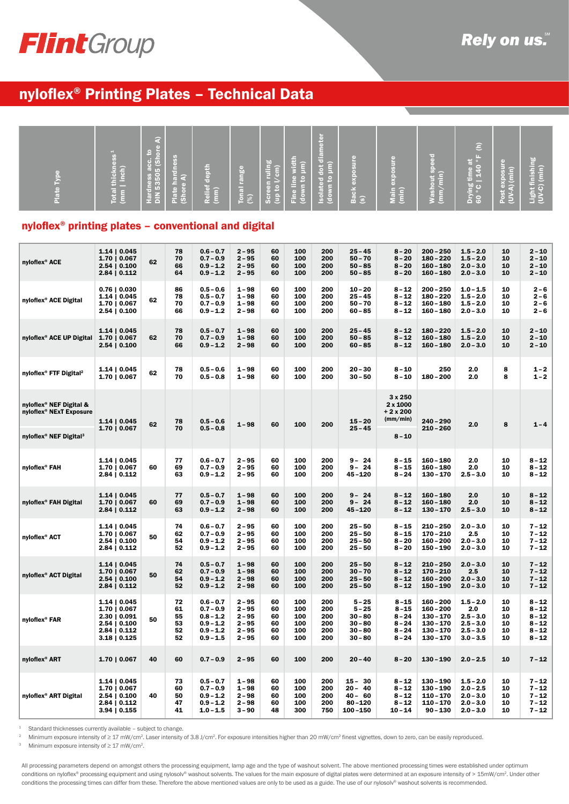

# nyloflex® Printing Plates – Technical Data

| Total thickne<br>(mm   inch) | . .<br>$rac{5}{2}$<br>$rac{1}{5}$ (Sho<br>GB.<br>Tardne<br>e A)<br>Hardness<br>DIN 53505<br>Plate<br>(Shore | epth<br>÷<br>Relief<br>(mm) | (b)<br>range<br>Ţ. | en ruling<br>o l/cm)<br>Scree<br>(up to | width<br>µm)<br>$\mathop{\bf e}\limits_{{\bf n}} {\bf e}$<br>$\circ$ 3 | <b>Fo</b><br>m<br><b>Table</b><br>lam<br>ᅙᅠᅠ<br>dot<br>$\frac{1}{6}$<br>я.<br>$\frac{1}{2}$<br><b>TO</b> | c<br>Ř<br>d)<br>š | 틌<br>$\blacksquare$<br>$\frac{1}{x}$<br>$\frac{5}{10}$ | r=1<br>h.<br>ĕ.<br>$\bullet$ $-$<br>H<br>ashout<br>- | ε<br><b>LES</b><br>. .<br>-<br>Drying time a<br>60 ° C   140 | 局<br>$\overline{\phantom{a}}$<br>exposu | <u>'ಪಿ</u><br>Light finishir<br>(UV-C) (min) |
|------------------------------|-------------------------------------------------------------------------------------------------------------|-----------------------------|--------------------|-----------------------------------------|------------------------------------------------------------------------|----------------------------------------------------------------------------------------------------------|-------------------|--------------------------------------------------------|------------------------------------------------------|--------------------------------------------------------------|-----------------------------------------|----------------------------------------------|
|                              |                                                                                                             |                             | $\frac{5}{2}$      |                                         | 운형                                                                     | 巳<br>உ                                                                                                   | Ger 7<br>် စီ     | žξ                                                     | $\leq$ 5                                             |                                                              | Post<br>(UV-4                           |                                              |

### nyloflex® printing plates – conventional and digital

| nyloflex <sup>®</sup> ACE                                                  | 1.14   0.045<br>$1.70 \mid 0.067$<br>2.54   0.100<br>$2.84 \mid 0.112$                                           | 62 | 78<br>70<br>66<br>64             | $0.6 - 0.7$<br>$0.7 - 0.9$<br>$0.9 - 1.2$<br>$0.9 - 1.2$                           | $2 - 95$<br>$2 - 95$<br>$2 - 95$<br>$2 - 95$                         | 60<br>60<br>60<br>60             | 100<br>100<br>100<br>100               | 200<br>200<br>200<br>200               | $25 - 45$<br>$50 - 70$<br>$50 - 85$<br>$50 - 85$                         | $8 - 20$<br>$8 - 20$<br>$8 - 20$<br>$8 - 20$                         | $200 - 250$<br>$180 - 220$<br>$160 - 180$<br>$160 - 180$                               | $1.5 - 2.0$<br>$1.5 - 2.0$<br>$2.0 - 3.0$<br>$2.0 - 3.0$                       | 10<br>10<br>10<br>10             | $2 - 10$<br>$2 - 10$<br>$2 - 10$<br>$2 - 10$                         |
|----------------------------------------------------------------------------|------------------------------------------------------------------------------------------------------------------|----|----------------------------------|------------------------------------------------------------------------------------|----------------------------------------------------------------------|----------------------------------|----------------------------------------|----------------------------------------|--------------------------------------------------------------------------|----------------------------------------------------------------------|----------------------------------------------------------------------------------------|--------------------------------------------------------------------------------|----------------------------------|----------------------------------------------------------------------|
| nyloflex <sup>®</sup> ACE Digital                                          | $0.76 \mid 0.030$<br>1.14   0.045<br>1.70   0.067<br>$2.54 \mid 0.100$                                           | 62 | 86<br>78<br>70<br>66             | $0.5 - 0.6$<br>$0.5 - 0.7$<br>$0.7 - 0.9$<br>$0.9 - 1.2$                           | $1 - 98$<br>$1 - 98$<br>$1 - 98$<br>$2 - 98$                         | 60<br>60<br>60<br>60             | 100<br>100<br>100<br>100               | 200<br>200<br>200<br>200               | $10 - 20$<br>$25 - 45$<br>$50 - 70$<br>$60 - 85$                         | $8 - 12$<br>$8 - 12$<br>$8 - 12$<br>$8 - 12$                         | $200 - 250$<br>$180 - 220$<br>$160 - 180$<br>$160 - 180$                               | $1.0 - 1.5$<br>$1.5 - 2.0$<br>$1.5 - 2.0$<br>$2.0 - 3.0$                       | 10<br>10<br>10<br>10             | $2 - 6$<br>$2 - 6$<br>$2 - 6$<br>$2 - 6$                             |
| nyloflex <sup>®</sup> ACE UP Digital                                       | 1.14   0.045<br>1.70   0.067<br>$2.54 \mid 0.100$                                                                | 62 | 78<br>70<br>66                   | $0.5 - 0.7$<br>$0.7 - 0.9$<br>$0.9 - 1.2$                                          | $1 - 98$<br>$1 - 98$<br>$2 - 98$                                     | 60<br>60<br>60                   | 100<br>100<br>100                      | 200<br>200<br>200                      | $25 - 45$<br>$50 - 85$<br>$60 - 85$                                      | $8 - 12$<br>$8 - 12$<br>$8 - 12$                                     | $180 - 220$<br>$160 - 180$<br>$160 - 180$                                              | $1.5 - 2.0$<br>$1.5 - 2.0$<br>$2.0 - 3.0$                                      | 10<br>10<br>10                   | $2 - 10$<br>$2 - 10$<br>$2 - 10$                                     |
| nyloflex <sup>®</sup> FTF Digital <sup>2</sup>                             | 1.14   0.045<br>$1.70 \mid 0.067$                                                                                | 62 | 78<br>70                         | $0.5 - 0.6$<br>$0.5 - 0.8$                                                         | $1 - 98$<br>$1 - 98$                                                 | 60<br>60                         | 100<br>100                             | 200<br>200                             | $20 - 30$<br>$30 - 50$                                                   | $8 - 10$<br>$8 - 10$                                                 | 250<br>$180 - 200$                                                                     | 2.0<br>2.0                                                                     | 8<br>8                           | $1 - 2$<br>$1 - 2$                                                   |
| nyloflex <sup>®</sup> NEF Digital &<br>nyloflex <sup>®</sup> NExT Exposure | 1.14   0.045                                                                                                     | 62 | 78                               | $0.5 - 0.6$                                                                        | $1 - 98$                                                             | 60                               | 100                                    | 200                                    | $15 - 20$                                                                | 3 x 250<br>$2 \times 1000$<br>$+2x200$<br>(mm/min)                   | $240 - 290$                                                                            | 2.0                                                                            | 8                                | $1 - 4$                                                              |
| nyloflex <sup>®</sup> NEF Digital <sup>3</sup>                             | 1.70   0.067                                                                                                     |    | 70                               | $0.5 - 0.8$                                                                        |                                                                      |                                  |                                        |                                        | $25 - 45$                                                                | $8 - 10$                                                             | $210 - 260$                                                                            |                                                                                |                                  |                                                                      |
| nyloflex <sup>®</sup> FAH                                                  | 1.14   0.045<br>1.70   0.067<br>$2.84 \mid 0.112$                                                                | 60 | 77<br>69<br>63                   | $0.6 - 0.7$<br>$0.7 - 0.9$<br>$0.9 - 1.2$                                          | $2 - 95$<br>$2 - 95$<br>$2 - 95$                                     | 60<br>60<br>60                   | 100<br>100<br>100                      | 200<br>200<br>200                      | $9 - 24$<br>$9 - 24$<br>45-120                                           | $8 - 15$<br>$8 - 15$<br>$8 - 24$                                     | $160 - 180$<br>$160 - 180$<br>$130 - 170$                                              | 2.0<br>2.0<br>$2.5 - 3.0$                                                      | 10<br>10<br>10                   | $8 - 12$<br>$8 - 12$<br>8 - 12                                       |
| nyloflex® FAH Digital                                                      | 1.14   0.045<br>1.70   0.067<br>2.84   0.112                                                                     | 60 | 77<br>69<br>63                   | $0.5 - 0.7$<br>$0.7 - 0.9$<br>$0.9 - 1.2$                                          | $1 - 98$<br>$1 - 98$<br>$2 - 98$                                     | 60<br>60<br>60                   | 100<br>100<br>100                      | 200<br>200<br>200                      | $9 - 24$<br>$9 - 24$<br>45-120                                           | $8 - 12$<br>$8 - 12$<br>$8 - 12$                                     | $160 - 180$<br>$160 - 180$<br>$130 - 170$                                              | 2.0<br>2.0<br>$2.5 - 3.0$                                                      | 10<br>10<br>10                   | $8 - 12$<br>$8 - 12$<br>$8 - 12$                                     |
| nyloflex <sup>®</sup> ACT                                                  | 1.14   0.045<br>1.70   0.067<br>$2.54 \mid 0.100$<br>$2.84 \mid 0.112$                                           | 50 | 74<br>62<br>54<br>52             | $0.6 - 0.7$<br>$0.7 - 0.9$<br>$0.9 - 1.2$<br>$0.9 - 1.2$                           | $2 - 95$<br>$2 - 95$<br>$2 - 95$<br>$2 - 95$                         | 60<br>60<br>60<br>60             | 100<br>100<br>100<br>100               | 200<br>200<br>200<br>200               | $25 - 50$<br>$25 - 50$<br>$25 - 50$<br>$25 - 50$                         | $8 - 15$<br>$8 - 15$<br>$8 - 20$<br>$8 - 20$                         | $210 - 250$<br>$170 - 210$<br>$160 - 200$<br>$150 - 190$                               | $2.0 - 3.0$<br>$2.5\,$<br>$2.0 - 3.0$<br>$2.0 - 3.0$                           | 10<br>10<br>10<br>10             | $7 - 12$<br>$7 - 12$<br>$7 - 12$<br>$7 - 12$                         |
| nyloflex <sup>®</sup> ACT Digital                                          | $1.14 \mid 0.045$<br>$1.70 \mid 0.067$<br>2.54   0.100<br>$2.84 \mid 0.112$                                      | 50 | 74<br>62<br>54<br>52             | $0.5 - 0.7$<br>$0.7 - 0.9$<br>$0.9 - 1.2$<br>0.9 - 1.2                             | 1-98<br>$1 - 98$<br>$2 - 98$<br>$2 - 98$                             | 60<br>60<br>60<br>60             | 100<br>100<br>100<br>100               | 200<br>200<br>200<br>200               | $25 - 50$<br>$30 - 70$<br>$25 - 50$<br>$25 - 50$                         | $8 - 12$<br>$8 - 12$<br>$8 - 12$<br>$8 - 12$                         | $210 - 250$<br>$170 - 210$<br>$160 - 200$<br>$150 - 190$                               | $2.0 - 3.0$<br>2.5<br>$2.0 - 3.0$<br>$2.0 - 3.0$                               | 10<br>10<br>10<br>10             | $7 - 12$<br>$7 - 12$<br>$7 - 12$<br>$7 - 12$                         |
| nyloflex® FAR                                                              | 1.14   0.045<br>1.70   0.067<br>$2.30 \mid 0.091$<br>$2.54 \mid 0.100$<br>$2.84 \mid 0.112$<br>$3.18 \mid 0.125$ | 50 | 72<br>61<br>55<br>53<br>52<br>52 | $0.6 - 0.7$<br>$0.7 - 0.9$<br>$0.8 - 1.2$<br>$0.9 - 1.2$<br>0.9 – 1.2<br>0.9 – 1.5 | $2 - 95$<br>$2 - 95$<br>$2 - 95$<br>$2 - 95$<br>$2 - 95$<br>$2 - 95$ | 60<br>60<br>60<br>60<br>60<br>60 | 100<br>100<br>100<br>100<br>100<br>100 | 200<br>200<br>200<br>200<br>200<br>200 | $5 - 25$<br>$5 - 25$<br>$30 - 80$<br>$30 - 80$<br>$30 - 80$<br>$30 - 80$ | $8 - 15$<br>$8 - 15$<br>$8 - 24$<br>$8 - 24$<br>$8 - 24$<br>$8 - 24$ | $160 - 200$<br>$160 - 200$<br>$130 - 170$<br>$130 - 170$<br>$130 - 170$<br>$130 - 170$ | $1.5 - 2.0$<br>2.0<br>$2.5 - 3.0$<br>$2.5 - 3.0$<br>$2.5 - 3.0$<br>$3.0 - 3.5$ | 10<br>10<br>10<br>10<br>10<br>10 | $8 - 12$<br>$8 - 12$<br>$8 - 12$<br>$8 - 12$<br>$8 - 12$<br>$8 - 12$ |
| nyloflex <sup>®</sup> ART                                                  | $1.70 \mid 0.067$                                                                                                | 40 | 60                               | $0.7 - 0.9$                                                                        | $2 - 95$                                                             | 60                               | 100                                    | 200                                    | $20 - 40$                                                                | $8 - 20$                                                             | $130 - 190$                                                                            | $2.0 - 2.5$                                                                    | 10                               | $7 - 12$                                                             |
| nyloflex <sup>®</sup> ART Digital                                          | 1.14   0.045<br>1.70   0.067<br>2.54   0.100<br>2.84   0.112<br>$3.94 \mid 0.155$                                | 40 | 73<br>60<br>50<br>47<br>41       | $0.5 - 0.7$<br>$0.7 - 0.9$<br>$0.9 - 1.2$<br>$0.9 - 1.2$<br>$1.0 - 1.5$            | $1 - 98$<br>$1 - 98$<br>$2 - 98$<br>2 – 98<br>$3 - 90$               | 60<br>60<br>60<br>60<br>48       | 100<br>100<br>100<br>100<br>300        | 200<br>200<br>200<br>200<br>750        | $15 - 30$<br>$20 - 40$<br>$40 - 60$<br>$80 - 120$<br>$100 - 150$         | $8 - 12$<br>$8 - 12$<br>$8 - 12$<br>$8 - 12$<br>$10 - 14$            | $130 - 190$<br>$130 - 190$<br>$110 - 170$<br>110 - 170<br>$90 - 130$                   | $1.5 - 2.0$<br>$2.0 - 2.5$<br>$2.0 - 3.0$<br>$2.0 - 3.0$<br>$2.0 - 3.0$        | 10<br>10<br>10<br>10<br>10       | $7 - 12$<br>$7 - 12$<br>$7 - 12$<br>$7 - 12$<br>$7 - 12$             |

Standard thicknesses currently available - subject to change.

2 Minimum exposure intensity of ≥ 17 mW/cm<sup>2</sup>. Laser intensity of 3.8 J/cm<sup>2</sup>. For exposure intensities higher than 20 mW/cm<sup>2</sup> finest vignettes, down to zero, can be easily reproduced.<br><sup>3</sup> Minimum exposure intensity of >

Minimum exposure intensity of  $\geq 17$  mW/cm<sup>2</sup>.

All processing parameters depend on amongst others the processing equipment, lamp age and the type of washout solvent. The above mentioned processing times were established under optimum conditions on nyloflex® processing equipment and using nylosolv® washout solvents. The values for the main exposure of digital plates were determined at an exposure intensity of > 15mW/cm2. Under other conditions the processing times can differ from these. Therefore the above mentioned values are only to be used as a guide. The use of our nylosolv® washout solvents is recommended.